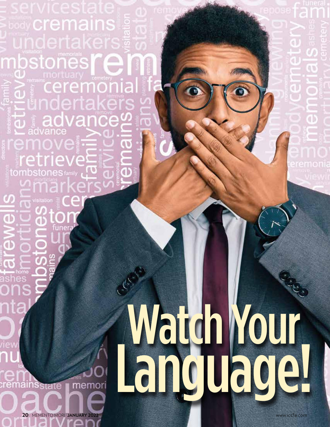Watch Your Language!

body **Crema** 

 $\mathbf{a}$ 

đ

d

remainsstate

stones

**20** MEMENTO MORI **JANUARY 2022** www.iccfa.com

١b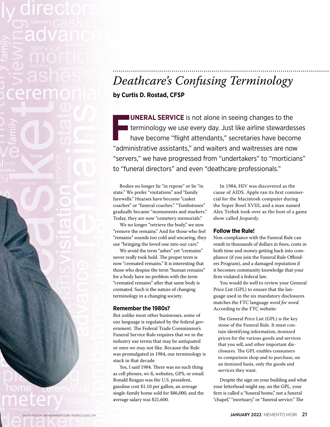# *Deathcare's Confusing Terminology*

**by Curtis D. Rostad, CFSP**

**F**<br>"admi **UNERAL SERVICE** is not alone in seeing changes to the I terminology we use every day. Just like airline stewardesses have become "flight attendants," secretaries have become "administrative assistants," and waiters and waitresses are now "servers," we have progressed from "undertakers" to "morticians" to "funeral directors" and even "deathcare professionals."

Bodies no longer lie "in repose" or lie "in state." We prefer "visitations" and "family farewells." Hearses have become "casket coaches" or "funeral coaches." "Tombstones" gradually became "monuments and markers." Today, they are now "cemetery memorials."

We no longer "retrieve the body," we now "remove the remains." And for those who feel "remains" sounds too cold and uncaring, they use "bringing the loved one into our care."

We avoid the term "ashes" yet "cremains" never really took hold. The proper term is now "cremated remains." It is interesting that those who despise the term "human remains" for a body have no problem with the term "cremated remains" after that same body is cremated. Such is the nature of changing terminology in a changing society.

## **Remember the 1980s?**

SHUTTERSTOCK / KRAKENIMAGES.COM / WORDCLOUDS.COM

But unlike most other businesses, some of our language is regulated by the federal government. The Federal Trade Commission's Funeral Service Rule requires that we in the industry use terms that may be antiquated or ones we may not like. Because the Rule was promulgated in 1984, our terminology is stuck in that decade.

Yes, I said 1984. There was no such thing as cell phones, wi-fi, websites, GPS, or email. Ronald Reagan was the U.S. president, gasoline cost \$1.10 per gallon, an average single-family home sold for \$86,000, and the average salary was \$21,600.

In 1984, HIV was discovered as the cause of AIDS. Apple ran its first commercial for the Macintosh computer during the Super Bowl XVIII, and a man named Alex Trebek took over as the host of a game show called *Jeopardy*.

### **Follow the Rule!**

Non-compliance with the Funeral Rule can result in thousands of dollars in fines, costs in both time and money getting back into compliance (if you join the Funeral Rule Offenders Program), and a damaged reputation if it becomes community knowledge that your firm violated a federal law.

You would do well to review your General Price List (GPL) to ensure that the language used in the six mandatory disclosures matches the FTC language *word for word.* According to the FTC website:

The General Price List (GPL) is the key stone of the Funeral Rule. It must contain identifying information, itemized prices for the various goods and services that you sell, and other important disclosures. The GPL enables consumers to comparison shop and to purchase, on an itemized basis, only the goods and services they want.

Despite the sign on your building and what your letterhead might say, on the GPL, your firm is called a "funeral home," not a funeral "chapel," "mortuary," or "funeral service." The